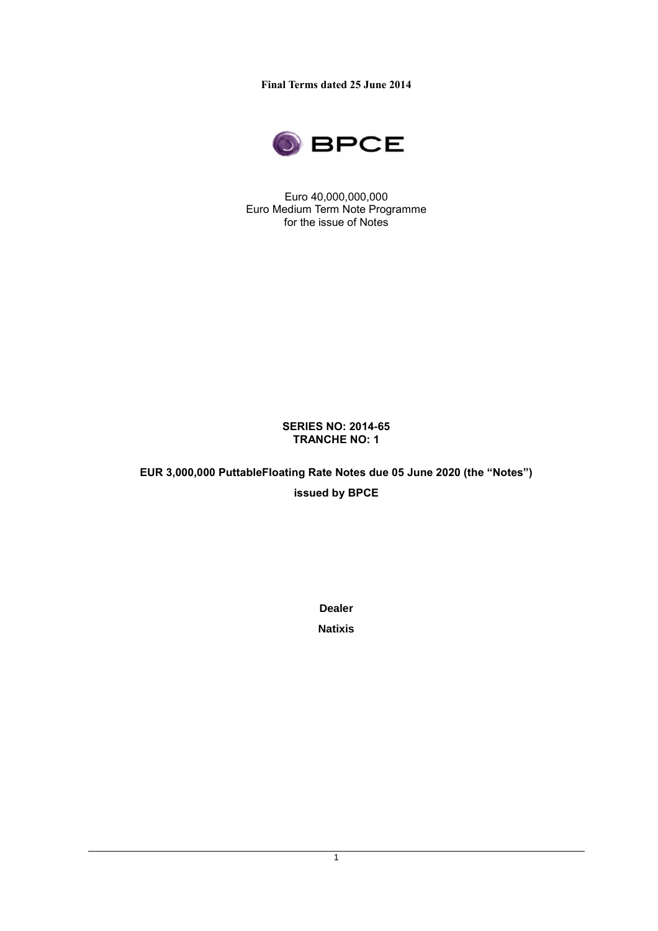**Final Terms dated 25 June 2014**



Euro 40,000,000,000 Euro Medium Term Note Programme for the issue of Notes

#### **SERIES NO: 2014-65 TRANCHE NO: 1**

**EUR 3,000,000 PuttableFloating Rate Notes due 05 June 2020 (the "Notes") issued by BPCE**

**Dealer** 

**Natixis**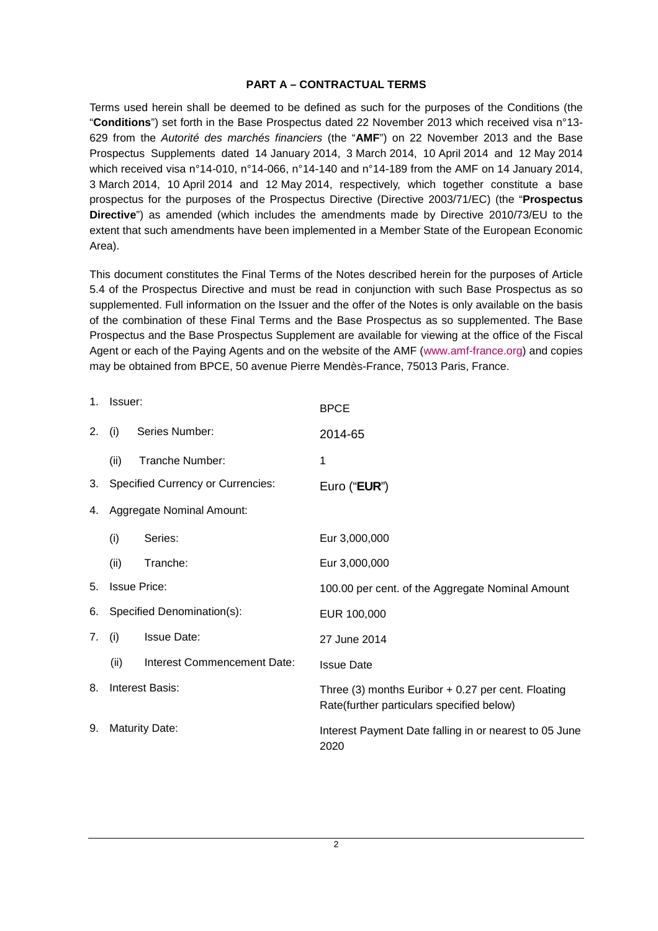#### **PART A – CONTRACTUAL TERMS**

Terms used herein shall be deemed to be defined as such for the purposes of the Conditions (the "**Conditions**") set forth in the Base Prospectus dated 22 November 2013 which received visa n°13- 629 from the Autorité des marchés financiers (the "**AMF**") on 22 November 2013 and the Base Prospectus Supplements dated 14 January 2014, 3 March 2014, 10 April 2014 and 12 May 2014 which received visa n°14-010, n°14-066, n°14-140 and n°14-189 from the AMF on 14 January 2014, 3 March 2014, 10 April 2014 and 12 May 2014, respectively, which together constitute a base prospectus for the purposes of the Prospectus Directive (Directive 2003/71/EC) (the "**Prospectus Directive**") as amended (which includes the amendments made by Directive 2010/73/EU to the extent that such amendments have been implemented in a Member State of the European Economic Area).

This document constitutes the Final Terms of the Notes described herein for the purposes of Article 5.4 of the Prospectus Directive and must be read in conjunction with such Base Prospectus as so supplemented. Full information on the Issuer and the offer of the Notes is only available on the basis of the combination of these Final Terms and the Base Prospectus as so supplemented. The Base Prospectus and the Base Prospectus Supplement are available for viewing at the office of the Fiscal Agent or each of the Paying Agents and on the website of the AMF (www.amf-france.org) and copies may be obtained from BPCE, 50 avenue Pierre Mendès-France, 75013 Paris, France.

| $1_{\cdot}$ | Issuer:                    |                                          | <b>BPCE</b>                                                                                       |
|-------------|----------------------------|------------------------------------------|---------------------------------------------------------------------------------------------------|
| 2.          | (i)                        | Series Number:                           | 2014-65                                                                                           |
|             | (ii)                       | Tranche Number:                          | 1                                                                                                 |
| 3.          |                            | <b>Specified Currency or Currencies:</b> | Euro (" <b>EUR</b> ")                                                                             |
| 4.          | Aggregate Nominal Amount:  |                                          |                                                                                                   |
|             | (i)                        | Series:                                  | Eur 3,000,000                                                                                     |
|             | (ii)                       | Tranche:                                 | Eur 3,000,000                                                                                     |
| 5.          | <b>Issue Price:</b>        |                                          | 100.00 per cent. of the Aggregate Nominal Amount                                                  |
| 6.          | Specified Denomination(s): |                                          | EUR 100,000                                                                                       |
| 7.          | (i)                        | <b>Issue Date:</b>                       | 27 June 2014                                                                                      |
|             | (ii)                       | Interest Commencement Date:              | <b>Issue Date</b>                                                                                 |
| 8.          | Interest Basis:            |                                          | Three (3) months Euribor $+$ 0.27 per cent. Floating<br>Rate(further particulars specified below) |
| 9.          | <b>Maturity Date:</b>      |                                          | Interest Payment Date falling in or nearest to 05 June<br>2020                                    |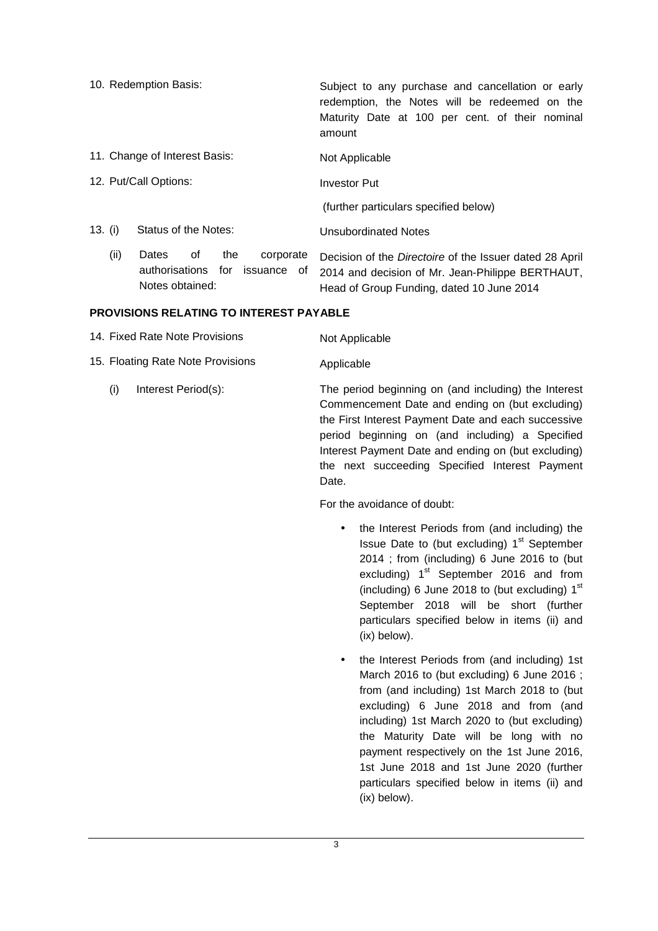- 10. Redemption Basis: Subject to any purchase and cancellation or early redemption, the Notes will be redeemed on the Maturity Date at 100 per cent. of their nominal amount
	- 11. Change of Interest Basis: Not Applicable
	- 12. Put/Call Options: Investor Put

(further particulars specified below)

- 13. (i) Status of the Notes: Unsubordinated Notes
	- (ii) Dates of the corporate authorisations for issuance of Notes obtained: Decision of the Directoire of the Issuer dated 28 April 2014 and decision of Mr. Jean-Philippe BERTHAUT, Head of Group Funding, dated 10 June 2014

#### **PROVISIONS RELATING TO INTEREST PAYABLE**

| 14. Fixed Rate Note Provisions    | Not Applicable                                                                                                                                                                                                    |
|-----------------------------------|-------------------------------------------------------------------------------------------------------------------------------------------------------------------------------------------------------------------|
| 15. Floating Rate Note Provisions | Applicable                                                                                                                                                                                                        |
| Interest Period(s):<br>(i)        | The period beginning on (and including) the Interest<br>Commencement Date and ending on (but excluding)<br>the First Interest Payment Date and each successive<br>period beginning on (and including) a Specified |

Commencement Date and ending on (but excluding) the First Interest Payment Date and each successive period beginning on (and including) a Specified Interest Payment Date and ending on (but excluding) the next succeeding Specified Interest Payment Date.

For the avoidance of doubt:

- the Interest Periods from (and including) the Issue Date to (but excluding) 1<sup>st</sup> September 2014 ; from (including) 6 June 2016 to (but excluding)  $1<sup>st</sup>$  September 2016 and from (including) 6 June 2018 to (but excluding)  $1<sup>st</sup>$ September 2018 will be short (further particulars specified below in items (ii) and (ix) below).
- the Interest Periods from (and including) 1st March 2016 to (but excluding) 6 June 2016 ; from (and including) 1st March 2018 to (but excluding) 6 June 2018 and from (and including) 1st March 2020 to (but excluding) the Maturity Date will be long with no payment respectively on the 1st June 2016, 1st June 2018 and 1st June 2020 (further particulars specified below in items (ii) and (ix) below).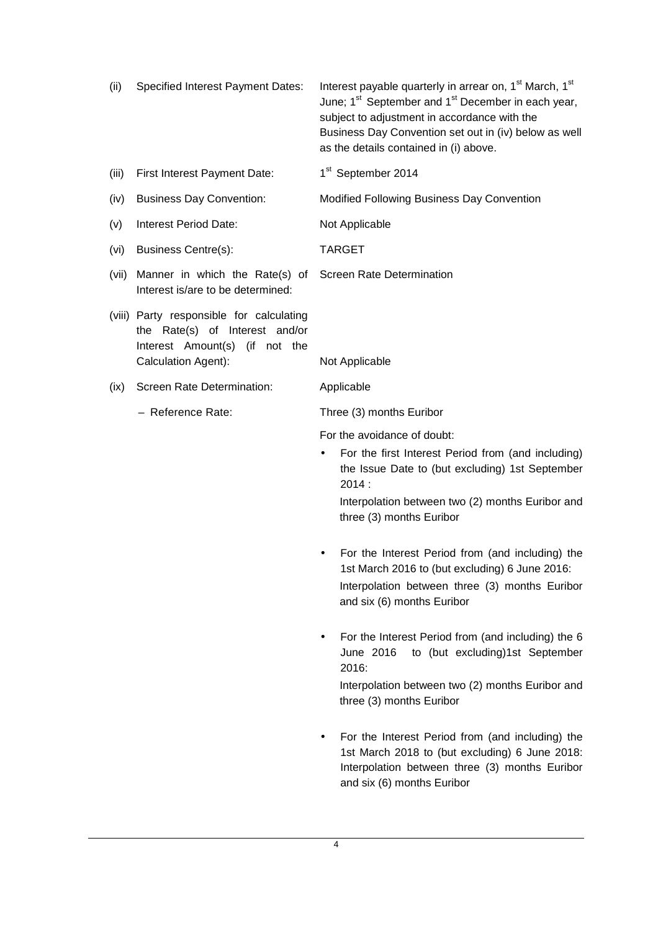| (ii) | Specified Interest Payment Dates: | Interest payable quarterly in arrear on, 1 <sup>st</sup> March, 1 <sup>st</sup> |
|------|-----------------------------------|---------------------------------------------------------------------------------|
|      |                                   | June; 1 <sup>st</sup> September and 1 <sup>st</sup> December in each year,      |
|      |                                   | subject to adjustment in accordance with the                                    |
|      |                                   | Business Day Convention set out in (iv) below as well                           |
|      |                                   | as the details contained in (i) above.                                          |
|      |                                   |                                                                                 |

- (iii) First Interest Payment Date:  $1<sup>st</sup>$  September 2014
- (iv) Business Day Convention: Modified Following Business Day Convention
- (v) Interest Period Date: Not Applicable
- (vi) Business Centre(s): TARGET
- (vii) Manner in which the Rate(s) of Screen Rate Determination Interest is/are to be determined:
- (viii) Party responsible for calculating the Rate(s) of Interest and/or Interest Amount(s) (if not the Calculation Agent): Not Applicable
- (ix) Screen Rate Determination: Applicable
	-

– Reference Rate: Three (3) months Euribor

For the avoidance of doubt:

For the first Interest Period from (and including) the Issue Date to (but excluding) 1st September 2014 :

Interpolation between two (2) months Euribor and three (3) months Euribor

- For the Interest Period from (and including) the 1st March 2016 to (but excluding) 6 June 2016: Interpolation between three (3) months Euribor and six (6) months Euribor
- For the Interest Period from (and including) the 6 June 2016 to (but excluding)1st September 2016:

Interpolation between two (2) months Euribor and three (3) months Euribor

• For the Interest Period from (and including) the 1st March 2018 to (but excluding) 6 June 2018: Interpolation between three (3) months Euribor and six (6) months Euribor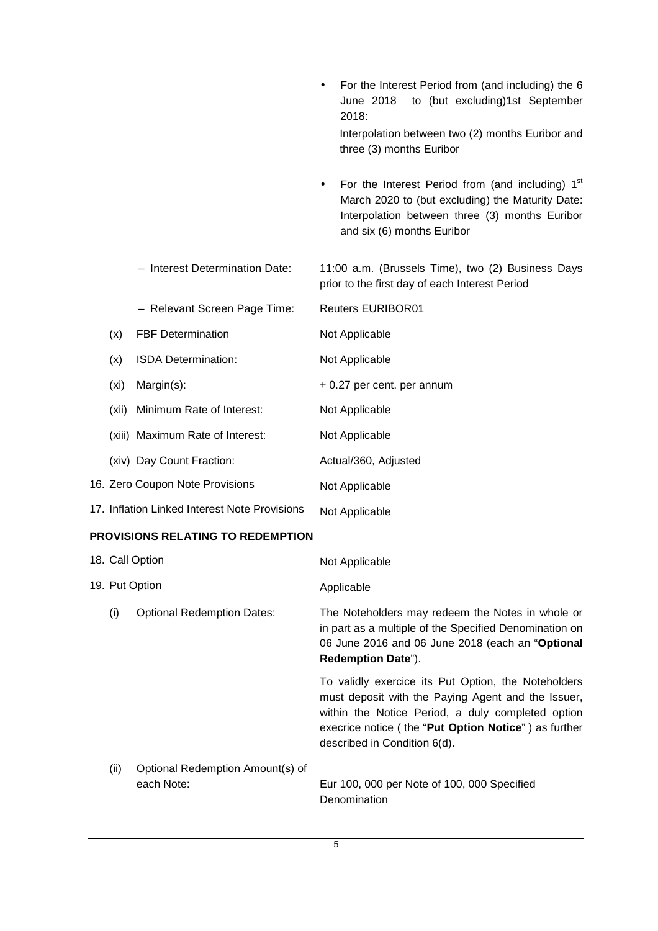|       |                                               | to (but excluding)1st September<br>June 2018<br>2018:                                                                                                                                                 |
|-------|-----------------------------------------------|-------------------------------------------------------------------------------------------------------------------------------------------------------------------------------------------------------|
|       |                                               | Interpolation between two (2) months Euribor and<br>three (3) months Euribor                                                                                                                          |
|       |                                               | For the Interest Period from (and including) 1 <sup>st</sup><br>٠<br>March 2020 to (but excluding) the Maturity Date:<br>Interpolation between three (3) months Euribor<br>and six (6) months Euribor |
|       | - Interest Determination Date:                | 11:00 a.m. (Brussels Time), two (2) Business Days<br>prior to the first day of each Interest Period                                                                                                   |
|       | - Relevant Screen Page Time:                  | <b>Reuters EURIBOR01</b>                                                                                                                                                                              |
| (x)   | <b>FBF Determination</b>                      | Not Applicable                                                                                                                                                                                        |
| (x)   | ISDA Determination:                           | Not Applicable                                                                                                                                                                                        |
| (xi)  | Margin(s):                                    | + 0.27 per cent. per annum                                                                                                                                                                            |
| (xii) | Minimum Rate of Interest:                     | Not Applicable                                                                                                                                                                                        |
|       | (xiii) Maximum Rate of Interest:              | Not Applicable                                                                                                                                                                                        |
|       | (xiv) Day Count Fraction:                     | Actual/360, Adjusted                                                                                                                                                                                  |
|       | 16. Zero Coupon Note Provisions               | Not Applicable                                                                                                                                                                                        |
|       | 17. Inflation Linked Interest Note Provisions | Not Applicable                                                                                                                                                                                        |
|       | PROVISIONS RELATING TO REDEMPTION             |                                                                                                                                                                                                       |
|       | 18. Call Option                               | Not Applicable                                                                                                                                                                                        |
|       | 19. Put Option                                | Applicable                                                                                                                                                                                            |
| (i)   | <b>Optional Redemption Dates:</b>             | The Noteholders may redeem the Notes in whole or<br>in part as a multiple of the Specified Denomination on<br>06 June 2016 and 06 June 2018 (each an "Optional<br>Redemption Date").                  |

To validly exercice its Put Option, the Noteholders must deposit with the Paying Agent and the Issuer, within the Notice Period, a duly completed option execrice notice ( the "**Put Option Notice**" ) as further described in Condition 6(d).

• For the Interest Period from (and including) the 6

(ii) Optional Redemption Amount(s) of each Note: Eur 100, 000 per Note of 100, 000 Specified Denomination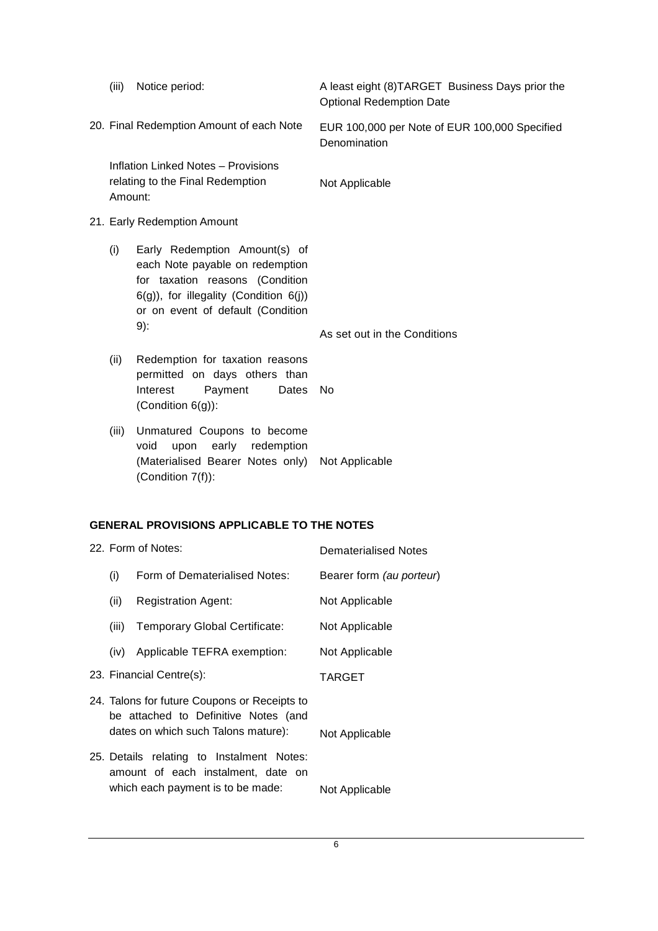|                                                   | (iii)                       | Notice period:                                                                                                                                                                               | A least eight (8) TARGET Business Days prior the<br><b>Optional Redemption Date</b> |
|---------------------------------------------------|-----------------------------|----------------------------------------------------------------------------------------------------------------------------------------------------------------------------------------------|-------------------------------------------------------------------------------------|
|                                                   |                             | 20. Final Redemption Amount of each Note                                                                                                                                                     | EUR 100,000 per Note of EUR 100,000 Specified<br>Denomination                       |
|                                                   | Amount:                     | <b>Inflation Linked Notes - Provisions</b><br>relating to the Final Redemption                                                                                                               | Not Applicable                                                                      |
|                                                   | 21. Early Redemption Amount |                                                                                                                                                                                              |                                                                                     |
|                                                   | (i)                         | Early Redemption Amount(s) of<br>each Note payable on redemption<br>for taxation reasons (Condition<br>6(g)), for illegality (Condition 6(j))<br>or on event of default (Condition<br>$9)$ : | As set out in the Conditions                                                        |
|                                                   | (ii)                        | Redemption for taxation reasons<br>permitted on days others than<br>Interest<br>Payment<br>Dates<br>(Condition $6(g)$ ):                                                                     | <b>No</b>                                                                           |
|                                                   | (iii)                       | Unmatured Coupons to become<br>void<br>upon<br>early redemption<br>(Materialised Bearer Notes only)<br>(Condition 7(f)):                                                                     | Not Applicable                                                                      |
| <b>GENERAL PROVISIONS APPLICABLE TO THE NOTES</b> |                             |                                                                                                                                                                                              |                                                                                     |
|                                                   |                             | 22. Form of Notes:                                                                                                                                                                           | <b>Dematerialised Notes</b>                                                         |
|                                                   | (i)                         | Form of Dematerialised Notes:                                                                                                                                                                | Bearer form (au porteur)                                                            |
|                                                   | (ii)                        | <b>Registration Agent:</b>                                                                                                                                                                   | Not Applicable                                                                      |
|                                                   | (iii)                       | Temporary Global Certificate:                                                                                                                                                                | Not Applicable                                                                      |
|                                                   | (iv)                        | Applicable TEFRA exemption:                                                                                                                                                                  | Not Applicable                                                                      |
|                                                   |                             | 23. Financial Centre(s):                                                                                                                                                                     | <b>TARGET</b>                                                                       |
|                                                   |                             | 24. Talons for future Coupons or Receipts to<br>be attached to Definitive Notes (and<br>dates on which such Talons mature):                                                                  | Not Applicable                                                                      |
|                                                   |                             | 25. Details relating to Instalment Notes:<br>amount of each instalment, date on<br>which each payment is to be made:                                                                         | Not Applicable                                                                      |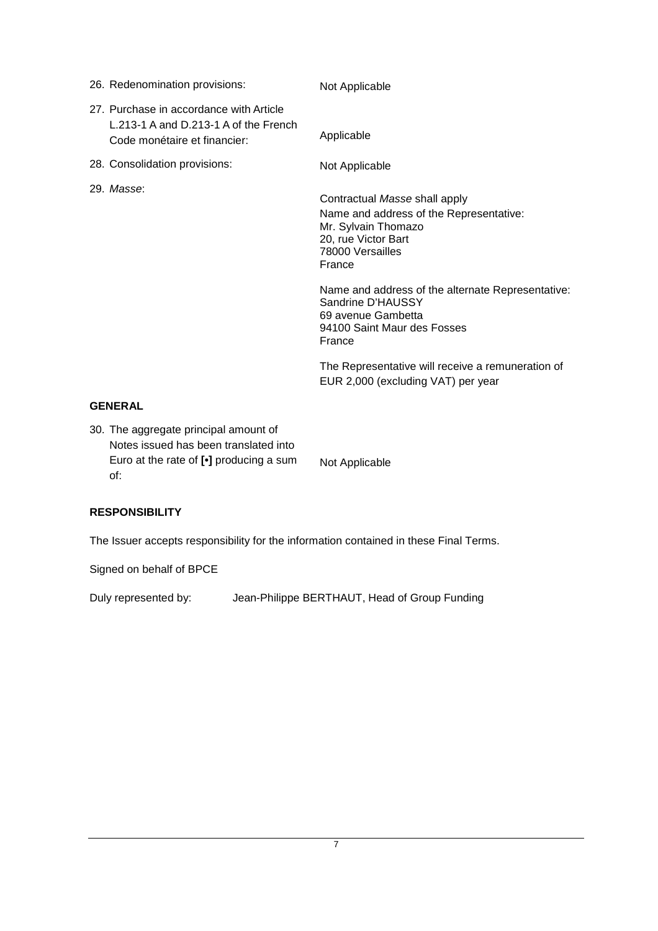| 26. Redenomination provisions:                                                                                   | Not Applicable                                                                                                                                                                                                                                                                                |  |
|------------------------------------------------------------------------------------------------------------------|-----------------------------------------------------------------------------------------------------------------------------------------------------------------------------------------------------------------------------------------------------------------------------------------------|--|
| 27. Purchase in accordance with Article<br>L.213-1 A and D.213-1 A of the French<br>Code monétaire et financier: | Applicable                                                                                                                                                                                                                                                                                    |  |
| 28. Consolidation provisions:                                                                                    | Not Applicable                                                                                                                                                                                                                                                                                |  |
| 29. Masse:                                                                                                       | Contractual Masse shall apply<br>Name and address of the Representative:<br>Mr. Sylvain Thomazo<br>20, rue Victor Bart<br>78000 Versailles<br>France<br>Name and address of the alternate Representative:<br>Sandrine D'HAUSSY<br>69 avenue Gambetta<br>94100 Saint Maur des Fosses<br>France |  |
|                                                                                                                  | The Representative will receive a remuneration of<br>EUR 2,000 (excluding VAT) per year                                                                                                                                                                                                       |  |
| <b>GENERAL</b>                                                                                                   |                                                                                                                                                                                                                                                                                               |  |
| $\sim$ $\sim$ $\sim$                                                                                             |                                                                                                                                                                                                                                                                                               |  |

30. The aggregate principal amount of Notes issued has been translated into Euro at the rate of **[•]** producing a sum of: Not Applicable

# **RESPONSIBILITY**

The Issuer accepts responsibility for the information contained in these Final Terms.

Signed on behalf of BPCE

Duly represented by: Jean-Philippe BERTHAUT, Head of Group Funding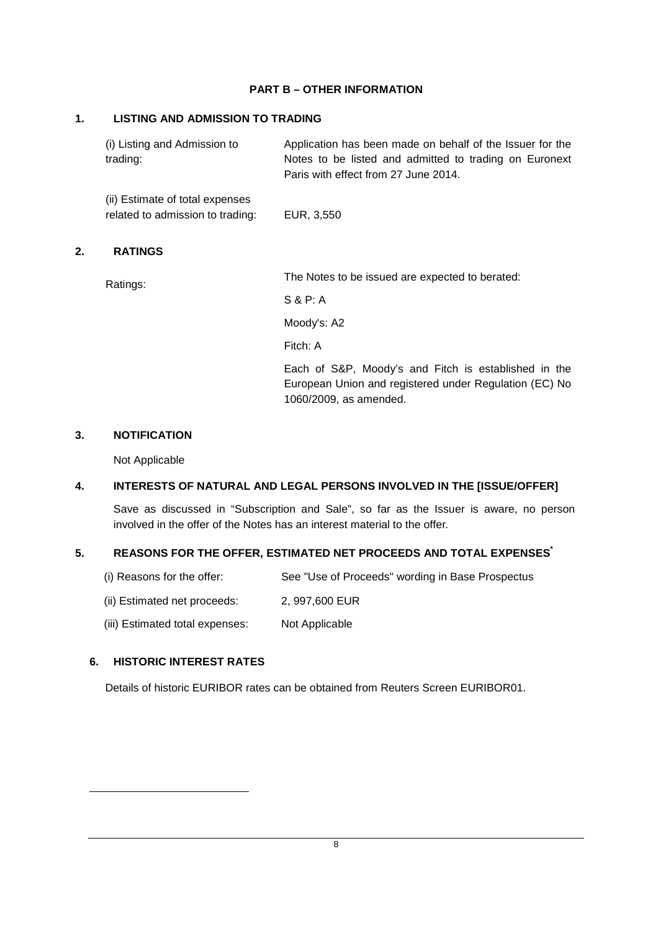#### **PART B – OTHER INFORMATION**

#### **1. LISTING AND ADMISSION TO TRADING**

(i) Listing and Admission to trading: Application has been made on behalf of the Issuer for the Notes to be listed and admitted to trading on Euronext Paris with effect from 27 June 2014.

(ii) Estimate of total expenses related to admission to trading: EUR, 3,550

#### **2. RATINGS**

Ratings: The Notes to be issued are expected to berated:

S & P: A

Moody's: A2

Fitch: A

Each of S&P, Moody's and Fitch is established in the European Union and registered under Regulation (EC) No 1060/2009, as amended.

#### **3. NOTIFICATION**

Not Applicable

#### **4. INTERESTS OF NATURAL AND LEGAL PERSONS INVOLVED IN THE [ISSUE/OFFER]**

Save as discussed in "Subscription and Sale", so far as the Issuer is aware, no person involved in the offer of the Notes has an interest material to the offer.

#### **5. REASONS FOR THE OFFER, ESTIMATED NET PROCEEDS AND TOTAL EXPENSES\***

- (i) Reasons for the offer: See "Use of Proceeds" wording in Base Prospectus
- (ii) Estimated net proceeds: 2, 997,600 EUR
- (iii) Estimated total expenses: Not Applicable

#### **6. HISTORIC INTEREST RATES**

 $\overline{a}$ 

Details of historic EURIBOR rates can be obtained from Reuters Screen EURIBOR01.